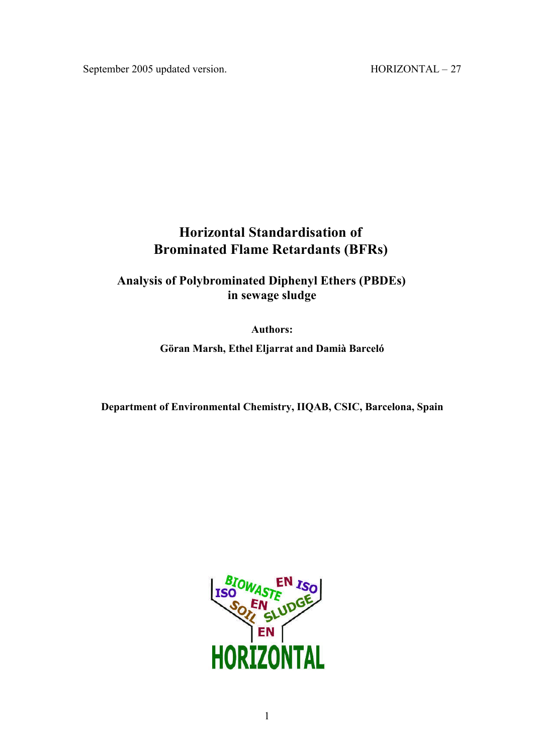# **Horizontal Standardisation of Brominated Flame Retardants (BFRs)**

**Analysis of Polybrominated Diphenyl Ethers (PBDEs) in sewage sludge**

**Authors:**

**Göran Marsh, Ethel Eljarrat and Damià Barceló**

**Department of Environmental Chemistry, IIQAB, CSIC, Barcelona, Spain**

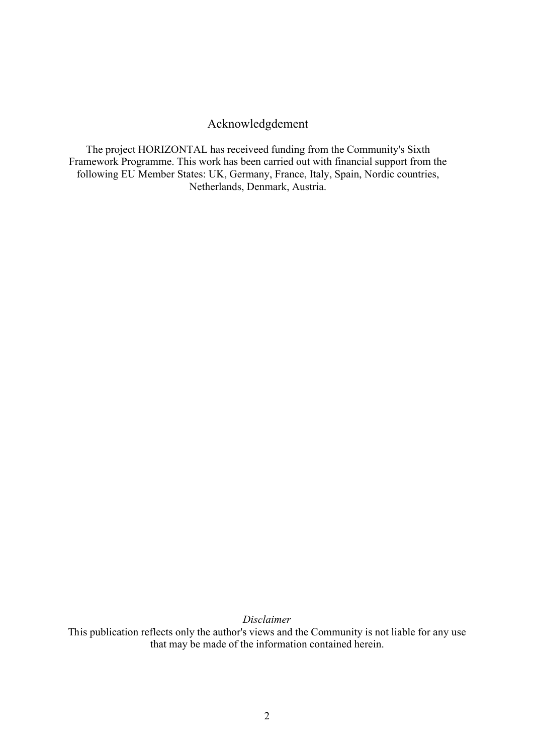# Acknowledgdement

The project HORIZONTAL has receiveed funding from the Community's Sixth Framework Programme. This work has been carried out with financial support from the following EU Member States: UK, Germany, France, Italy, Spain, Nordic countries, Netherlands, Denmark, Austria.

*Disclaimer*

This publication reflects only the author's views and the Community is not liable for any use that may be made of the information contained herein.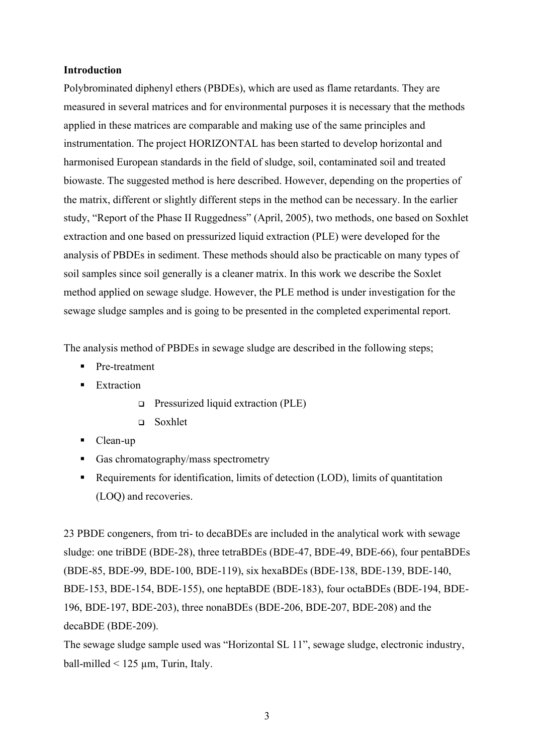## **Introduction**

Polybrominated diphenyl ethers (PBDEs), which are used as flame retardants. They are measured in several matrices and for environmental purposes it is necessary that the methods applied in these matrices are comparable and making use of the same principles and instrumentation. The project HORIZONTAL has been started to develop horizontal and harmonised European standards in the field of sludge, soil, contaminated soil and treated biowaste. The suggested method is here described. However, depending on the properties of the matrix, different or slightly different steps in the method can be necessary. In the earlier study, "Report of the Phase II Ruggedness" (April, 2005), two methods, one based on Soxhlet extraction and one based on pressurized liquid extraction (PLE) were developed for the analysis of PBDEs in sediment. These methods should also be practicable on many types of soil samples since soil generally is a cleaner matrix. In this work we describe the Soxlet method applied on sewage sludge. However, the PLE method is under investigation for the sewage sludge samples and is going to be presented in the completed experimental report.

The analysis method of PBDEs in sewage sludge are described in the following steps;

- Pre-treatment
- Extraction
	- $\Box$  Pressurized liquid extraction (PLE)
	- $\Box$  Soxhlet
- Clean-up
- Gas chromatography/mass spectrometry
- Requirements for identification, limits of detection (LOD), limits of quantitation (LOQ) and recoveries.

23 PBDE congeners, from tri- to decaBDEs are included in the analytical work with sewage sludge: one triBDE (BDE-28), three tetraBDEs (BDE-47, BDE-49, BDE-66), four pentaBDEs (BDE-85, BDE-99, BDE-100, BDE-119), six hexaBDEs (BDE-138, BDE-139, BDE-140, BDE-153, BDE-154, BDE-155), one heptaBDE (BDE-183), four octaBDEs (BDE-194, BDE-196, BDE-197, BDE-203), three nonaBDEs (BDE-206, BDE-207, BDE-208) and the decaBDE (BDE-209).

The sewage sludge sample used was "Horizontal SL 11", sewage sludge, electronic industry, ball-milled  $\leq 125 \mu m$ , Turin, Italy.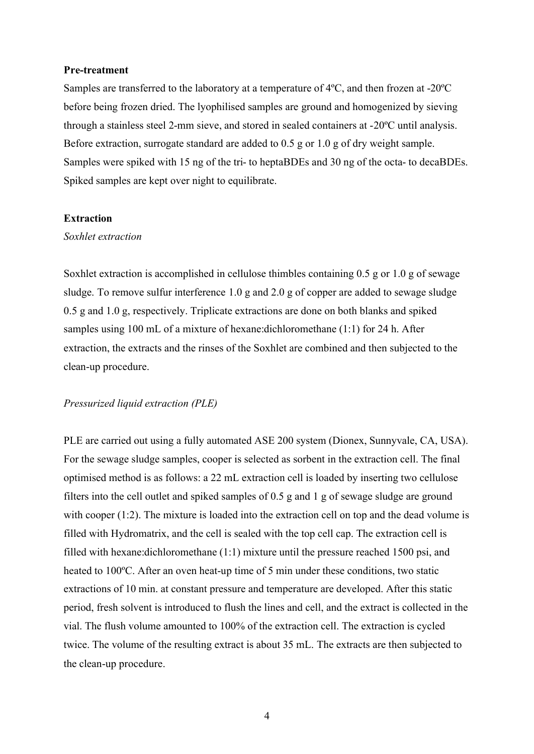#### **Pre-treatment**

Samples are transferred to the laboratory at a temperature of 4ºC, and then frozen at -20ºC before being frozen dried. The lyophilised samples are ground and homogenized by sieving through a stainless steel 2-mm sieve, and stored in sealed containers at -20ºC until analysis. Before extraction, surrogate standard are added to 0.5 g or 1.0 g of dry weight sample. Samples were spiked with 15 ng of the tri- to heptaBDEs and 30 ng of the octa- to decaBDEs. Spiked samples are kept over night to equilibrate.

## **Extraction**

#### *Soxhlet extraction*

Soxhlet extraction is accomplished in cellulose thimbles containing 0.5 g or 1.0 g of sewage sludge. To remove sulfur interference 1.0 g and 2.0 g of copper are added to sewage sludge 0.5 g and 1.0 g, respectively. Triplicate extractions are done on both blanks and spiked samples using 100 mL of a mixture of hexane:dichloromethane (1:1) for 24 h. After extraction, the extracts and the rinses of the Soxhlet are combined and then subjected to the clean-up procedure.

#### *Pressurized liquid extraction (PLE)*

PLE are carried out using a fully automated ASE 200 system (Dionex, Sunnyvale, CA, USA). For the sewage sludge samples, cooper is selected as sorbent in the extraction cell. The final optimised method is as follows: a 22 mL extraction cell is loaded by inserting two cellulose filters into the cell outlet and spiked samples of 0.5 g and 1 g of sewage sludge are ground with cooper (1:2). The mixture is loaded into the extraction cell on top and the dead volume is filled with Hydromatrix, and the cell is sealed with the top cell cap. The extraction cell is filled with hexane:dichloromethane (1:1) mixture until the pressure reached 1500 psi, and heated to 100°C. After an oven heat-up time of 5 min under these conditions, two static extractions of 10 min. at constant pressure and temperature are developed. After this static period, fresh solvent is introduced to flush the lines and cell, and the extract is collected in the vial. The flush volume amounted to 100% of the extraction cell. The extraction is cycled twice. The volume of the resulting extract is about 35 mL. The extracts are then subjected to the clean-up procedure.

4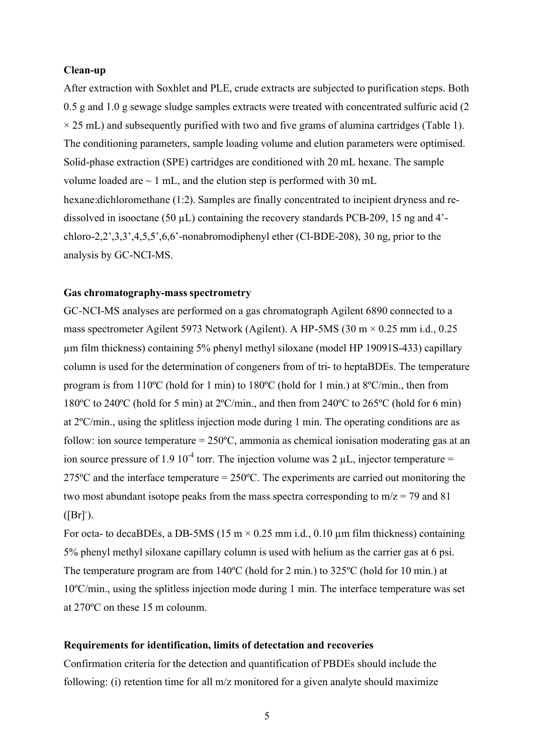#### **Clean-up**

After extraction with Soxhlet and PLE, crude extracts are subjected to purification steps. Both 0.5 g and 1.0 g sewage sludge samples extracts were treated with concentrated sulfuric acid (2  $\times$  25 mL) and subsequently purified with two and five grams of alumina cartridges (Table 1). The conditioning parameters, sample loading volume and elution parameters were optimised. Solid-phase extraction (SPE) cartridges are conditioned with 20 mL hexane. The sample volume loaded are  $\sim 1$  mL, and the elution step is performed with 30 mL hexane:dichloromethane (1:2). Samples are finally concentrated to incipient dryness and redissolved in isooctane (50  $\mu$ L) containing the recovery standards PCB-209, 15 ng and 4'chloro-2,2',3,3',4,5,5',6,6'-nonabromodiphenyl ether (Cl-BDE-208), 30 ng, prior to the analysis by GC-NCI-MS.

# **Gas chromatography-mass spectrometry**

GC-NCI-MS analyses are performed on a gas chromatograph Agilent 6890 connected to a mass spectrometer Agilent 5973 Network (Agilent). A HP-5MS (30 m  $\times$  0.25 mm i.d., 0.25 µm film thickness) containing 5% phenyl methyl siloxane (model HP 19091S-433) capillary column is used for the determination of congeners from of tri- to heptaBDEs. The temperature program is from 110ºC (hold for 1 min) to 180ºC (hold for 1 min.) at 8ºC/min., then from 180ºC to 240ºC (hold for 5 min) at 2ºC/min., and then from 240ºC to 265ºC (hold for 6 min) at 2ºC/min., using the splitless injection mode during 1 min. The operating conditions are as follow: ion source temperature = 250ºC, ammonia as chemical ionisation moderating gas at an ion source pressure of 1.9 10<sup>-4</sup> torr. The injection volume was 2  $\mu$ L, injector temperature = 275ºC and the interface temperature = 250ºC. The experiments are carried out monitoring the two most abundant isotope peaks from the mass spectra corresponding to  $m/z = 79$  and 81  $([Br])$ .

For octa- to decaBDEs, a DB-5MS (15 m  $\times$  0.25 mm i.d., 0.10 µm film thickness) containing 5% phenyl methyl siloxane capillary column is used with helium as the carrier gas at 6 psi. The temperature program are from 140ºC (hold for 2 min.) to 325ºC (hold for 10 min.) at 10ºC/min., using the splitless injection mode during 1 min. The interface temperature was set at 270ºC on these 15 m colounm.

# **Requirements for identification, limits of detectation and recoveries**

Confirmation criteria for the detection and quantification of PBDEs should include the following: (i) retention time for all m/z monitored for a given analyte should maximize

5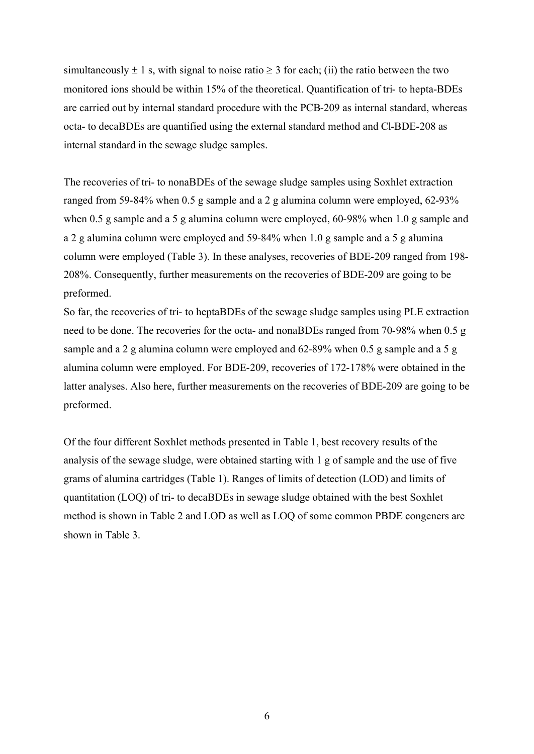simultaneously  $\pm 1$  s, with signal to noise ratio  $\geq 3$  for each; (ii) the ratio between the two monitored ions should be within 15% of the theoretical. Quantification of tri- to hepta-BDEs are carried out by internal standard procedure with the PCB-209 as internal standard, whereas octa- to decaBDEs are quantified using the external standard method and Cl-BDE-208 as internal standard in the sewage sludge samples.

The recoveries of tri- to nonaBDEs of the sewage sludge samples using Soxhlet extraction ranged from 59-84% when 0.5 g sample and a 2 g alumina column were employed, 62-93% when 0.5 g sample and a 5 g alumina column were employed, 60-98% when 1.0 g sample and a 2 g alumina column were employed and 59-84% when 1.0 g sample and a 5 g alumina column were employed (Table 3). In these analyses, recoveries of BDE-209 ranged from 198- 208%. Consequently, further measurements on the recoveries of BDE-209 are going to be preformed.

So far, the recoveries of tri- to heptaBDEs of the sewage sludge samples using PLE extraction need to be done. The recoveries for the octa- and nonaBDEs ranged from 70-98% when 0.5 g sample and a 2 g alumina column were employed and 62-89% when 0.5 g sample and a 5 g alumina column were employed. For BDE-209, recoveries of 172-178% were obtained in the latter analyses. Also here, further measurements on the recoveries of BDE-209 are going to be preformed.

Of the four different Soxhlet methods presented in Table 1, best recovery results of the analysis of the sewage sludge, were obtained starting with 1 g of sample and the use of five grams of alumina cartridges (Table 1). Ranges of limits of detection (LOD) and limits of quantitation (LOQ) of tri- to decaBDEs in sewage sludge obtained with the best Soxhlet method is shown in Table 2 and LOD as well as LOQ of some common PBDE congeners are shown in Table 3.

6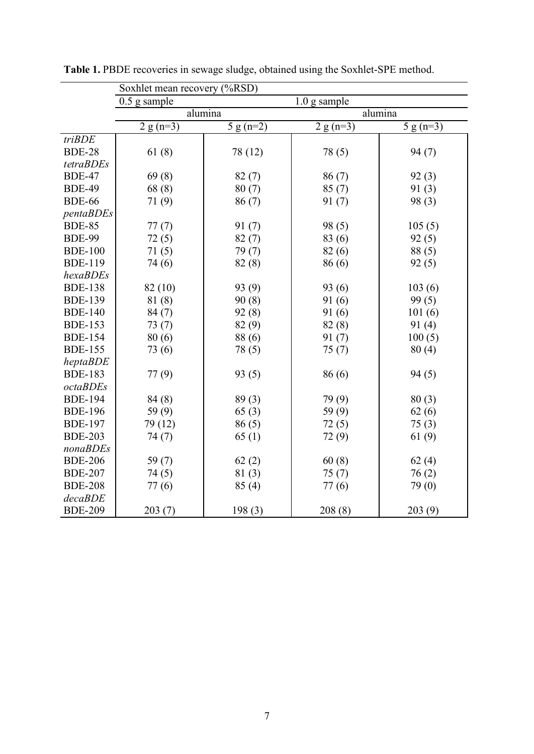|                 | Soxhlet mean recovery (%RSD)   |             |                        |                        |  |  |
|-----------------|--------------------------------|-------------|------------------------|------------------------|--|--|
|                 | $0.5$ g sample<br>1.0 g sample |             |                        |                        |  |  |
|                 | alumina                        |             | alumina                |                        |  |  |
|                 | $2 g (n=3)$                    | 5 g $(n=2)$ | $\overline{2}$ g (n=3) | $\overline{5}$ g (n=3) |  |  |
| triBDE          |                                |             |                        |                        |  |  |
| <b>BDE-28</b>   | 61(8)                          | 78 (12)     | 78 (5)                 | 94(7)                  |  |  |
| tetraBDEs       |                                |             |                        |                        |  |  |
| <b>BDE-47</b>   | 69(8)                          | 82(7)       | 86(7)                  | 92(3)                  |  |  |
| <b>BDE-49</b>   | 68(8)                          | 80(7)       | 85(7)                  | 91(3)                  |  |  |
| <b>BDE-66</b>   | 71(9)                          | 86(7)       | 91(7)                  | 98(3)                  |  |  |
| pentaBDEs       |                                |             |                        |                        |  |  |
| <b>BDE-85</b>   | 77(7)                          | 91(7)       | 98 (5)                 | 105(5)                 |  |  |
| <b>BDE-99</b>   | 72(5)                          | 82(7)       | 83 (6)                 | 92(5)                  |  |  |
| <b>BDE-100</b>  | 71(5)                          | 79(7)       | 82(6)                  | 88(5)                  |  |  |
| <b>BDE-119</b>  | 74 (6)                         | 82(8)       | 86 (6)                 | 92(5)                  |  |  |
| hexaBDEs        |                                |             |                        |                        |  |  |
| <b>BDE-138</b>  | 82 (10)                        | 93 (9)      | 93 (6)                 | 103(6)                 |  |  |
| <b>BDE-139</b>  | 81 (8)                         | 90(8)       | 91(6)                  | 99(5)                  |  |  |
| <b>BDE-140</b>  | 84 (7)                         | 92(8)       | 91(6)                  | 101(6)                 |  |  |
| <b>BDE-153</b>  | 73(7)                          | 82 (9)      | 82(8)                  | 91(4)                  |  |  |
| <b>BDE-154</b>  | 80(6)                          | 88 (6)      | 91(7)                  | 100(5)                 |  |  |
| <b>BDE-155</b>  | 73 (6)                         | 78 (5)      | 75(7)                  | 80(4)                  |  |  |
| heptaBDE        |                                |             |                        |                        |  |  |
| <b>BDE-183</b>  | 77(9)                          | 93(5)       | 86 (6)                 | 94 (5)                 |  |  |
| <i>octaBDEs</i> |                                |             |                        |                        |  |  |
| <b>BDE-194</b>  | 84 (8)                         | 89(3)       | 79 (9)                 | 80(3)                  |  |  |
| <b>BDE-196</b>  | 59(9)                          | 65(3)       | 59 (9)                 | 62(6)                  |  |  |
| <b>BDE-197</b>  | 79 (12)                        | 86(5)       | 72(5)                  | 75(3)                  |  |  |
| <b>BDE-203</b>  | 74 (7)                         | 65(1)       | 72 (9)                 | 61 $(9)$               |  |  |
| nonaBDEs        |                                |             |                        |                        |  |  |
| <b>BDE-206</b>  | 59 $(7)$                       | 62(2)       | 60(8)                  | 62(4)                  |  |  |
| <b>BDE-207</b>  | 74(5)                          | 81(3)       | 75(7)                  | 76(2)                  |  |  |
| <b>BDE-208</b>  | 77(6)                          | 85(4)       | 77(6)                  | 79 (0)                 |  |  |
| decaBDE         |                                |             |                        |                        |  |  |
| <b>BDE-209</b>  | 203(7)                         | 198(3)      | 208(8)                 | 203(9)                 |  |  |

**Table 1.** PBDE recoveries in sewage sludge, obtained using the Soxhlet-SPE method.